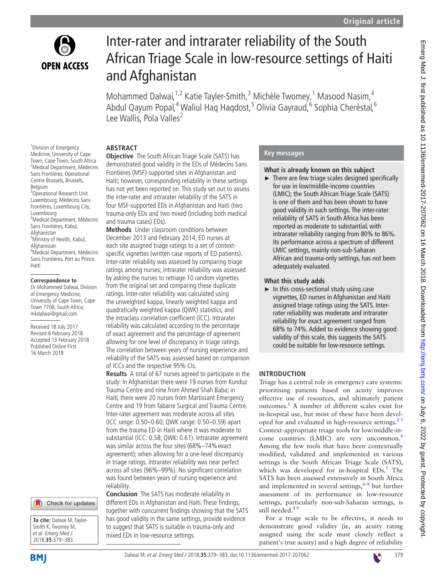

<sup>1</sup> Division of Emergency

# Inter-rater and intrarater reliability of the South African Triage Scale in low-resource settings of Haiti and Afghanistan

Mohammed Dalwai,<sup>1,2</sup> Katie Tayler-Smith,<sup>3</sup> Michèle Twomey,<sup>1</sup> Masood Nasim,<sup>4</sup> Abdul Qayum Popal,<sup>4</sup> Waliul Haq Haqdost,<sup>5</sup> Olivia Gayraud,<sup>6</sup> Sophia Cheréstal,<sup>6</sup> Lee Wallis, Pola Valles<sup>2</sup>

# **Abstract**

Medicine, University of Cape Town, Cape Town, South Africa <sup>2</sup> Medical Department, Médecins Sans Frontières, Operational Centre Brussels, Brussels, Belgium <sup>3</sup> Operational Research Unit Luxembourg, Médecins Sans Frontières, Luxembourg City, Luxembourg 4 Medical Department, Médecins Sans Frontières, Kabul, Afghanistan <sup>5</sup>Ministry of Health, Kabul, Afghanistan 6 Medical Department, Médecins Sans Frontières, Port au Prince,

#### **Correspondence to**

Haiti

Dr Mohammed Dalwai, Division of Emergency Medicine, University of Cape Town, Cape Town 7708, South Africa; mkdalwai@gmail.com

Received 18 July 2017 Revised 6 February 2018 Accepted 13 February 2018 Published Online First 16 March 2018





**Objective** The South African Triage Scale (SATS) has demonstrated good validity in the EDs of Médecins Sans Frontières (MSF)-supported sites in Afghanistan and Haiti; however, corresponding reliability in these settings has not yet been reported on. This study set out to assess the inter-rater and intrarater reliability of the SATS in four MSF-supported EDs in Afghanistan and Haiti (two trauma-only EDs and two mixed (including both medical and trauma cases) EDs).

**Methods** Under classroom conditions between December 2013 and February 2014, ED nurses at each site assigned triage ratings to a set of contextspecific vignettes (written case reports of ED patients). Inter-rater reliability was assessed by comparing triage ratings among nurses; intrarater reliability was assessed by asking the nurses to retriage 10 random vignettes from the original set and comparing these duplicate ratings. Inter-rater reliability was calculated using the unweighted kappa, linearly weighted kappa and quadratically weighted kappa (QWK) statistics, and the intraclass correlation coefficient (ICC). Intrarater reliability was calculated according to the percentage of exact agreement and the percentage of agreement allowing for one level of discrepancy in triage ratings. The correlation between years of nursing experience and reliability of the SATS was assessed based on comparison of ICCs and the respective 95% CIs.

**Results** A total of 67 nurses agreed to participate in the study: In Afghanistan there were 19 nurses from Kunduz Trauma Centre and nine from Ahmed Shah Baba; in Haiti, there were 20 nurses from Martissant Emergency Centre and 19 from Tabarre Surgical and Trauma Centre. Inter-rater agreement was moderate across all sites (ICC range: 0.50–0.60; QWK range: 0.50–0.59) apart from the trauma ED in Haiti where it was moderate to substantial (ICC: 0.58; QWK: 0.61). Intrarater agreement was similar across the four sites (68%-74% exact agreement); when allowing for a one-level discrepancy in triage ratings, intrarater reliability was near perfect across all sites (96%–99%). No significant correlation was found between years of nursing experience and reliability.

**Conclusion** The SATS has moderate reliability in different EDs in Afghanistan and Haiti. These findings, together with concurrent findings showing that the SATS has good validity in the same settings, provide evidence to suggest that SATS is suitable in trauma-only and mixed EDs in low-resource settings.

# **Key messages**

# **What is already known on this subject**

 $\blacktriangleright$  There are few triage scales designed specifically for use in low/middle-income countries (LMIC); the South African Triage Scale (SATS) is one of them and has been shown to have good validity in such settings. The inter-rater reliability of SATS in South Africa has been reported as moderate to substantial, with intrarater reliability ranging from 80% to 86%. Its performance across a spectrum of different LMIC settings, mainly non-sub-Saharan African and trauma-only settings, has not been adequately evaluated.

# **What this study adds**

 $\blacktriangleright$  In this cross-sectional study using case vignettes, ED nurses in Afghanistan and Haiti assigned triage ratings using the SATS. Interrater reliability was moderate and intrarater reliability for exact agreement ranged from 68% to 74%. Added to evidence showing good validity of this scale, this suggests the SATS could be suitable for low-resource settings.

# **Introduction**

Triage has a central role in emergency care systems: prioritising patients based on acuity improves effective use of resources, and ultimately patient outcomes.[1](#page-4-0) A number of different scales exist for in-hospital use, but most of these have been developed for and evaluated in high-resource settings. $2<sup>3</sup>$ Context-appropriate triage tools for low/middle-in-come countries (LMIC) are very uncommon.<sup>[4](#page-4-2)</sup> Among the few tools that have been contextually modified, validated and implemented in various settings is the South African Triage Scale (SATS), which was developed for in-hospital EDs.<sup>[5](#page-4-3)</sup> The SATS has been assessed extensively in South Africa and implemented in several settings,  $6-8$  but further assessment of its performance in low-resource settings, particularly non-sub-Saharan settings, is still needed.<sup>49</sup>

For a triage scale to be effective, it needs to demonstrate good validity (ie, an acuity rating assigned using the scale must closely reflect a patient's true acuity) and a high degree of reliability

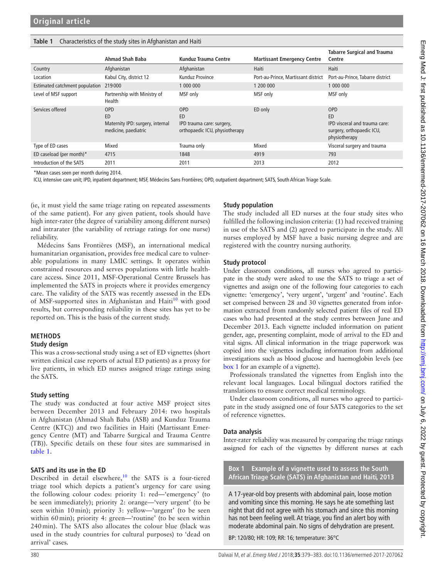#### <span id="page-1-0"></span>**Table 1** Characteristics of the study sites in Afghanistan and Haiti

|                                | Ahmad Shah Baba                                                              | Kunduz Trauma Centre                                                                   | <b>Martissant Emergency Centre</b>  | <b>Tabarre Surgical and Trauma</b><br>Centre                                                    |
|--------------------------------|------------------------------------------------------------------------------|----------------------------------------------------------------------------------------|-------------------------------------|-------------------------------------------------------------------------------------------------|
| Country                        | Afghanistan                                                                  | Afghanistan                                                                            | Haiti                               | Haiti                                                                                           |
| Location                       | Kabul City, district 12                                                      | Kunduz Province                                                                        | Port-au-Prince, Martissant district | Port-au-Prince, Tabarre district                                                                |
| Estimated catchment population | 219000                                                                       | 1 000 000                                                                              | 1 200 000                           | 1 000 000                                                                                       |
| Level of MSF support           | Partnership with Ministry of<br>Health                                       | MSF only                                                                               | MSF only                            | MSF only                                                                                        |
| Services offered               | <b>OPD</b><br>ED<br>Maternity IPD: surgery, internal<br>medicine, paediatric | <b>OPD</b><br><b>ED</b><br>IPD trauma care: surgery,<br>orthopaedic ICU, physiotherapy | ED only                             | <b>OPD</b><br>ED<br>IPD visceral and trauma care:<br>surgery, orthopaedic ICU,<br>physiotherapy |
| Type of ED cases               | Mixed                                                                        | Trauma only                                                                            | Mixed                               | Visceral surgery and trauma                                                                     |
| ED caseload (per month)*       | 4715                                                                         | 1848                                                                                   | 4919                                | 793                                                                                             |
| Introduction of the SATS       | 2011                                                                         | 2011                                                                                   | 2013                                | 2012                                                                                            |

\*Mean cases seen per month during 2014.

ICU, intensive care unit; IPD, inpatient department; MSF, Médecins Sans Frontières; OPD, outpatient department; SATS, South African Triage Scale.

(ie, it must yield the same triage rating on repeated assessments of the same patient). For any given patient, tools should have high inter-rater (the degree of variability among different nurses) and intrarater (the variability of retriage ratings for one nurse) reliability.

Médecins Sans Frontières (MSF), an international medical humanitarian organisation, provides free medical care to vulnerable populations in many LMIC settings. It operates within constrained resources and serves populations with little healthcare access. Since 2011, MSF-Operational Centre Brussels has implemented the SATS in projects where it provides emergency care. The validity of the SATS was recently assessed in the EDs of MSF-supported sites in Afghanistan and Haiti<sup>10</sup> with good results, but corresponding reliability in these sites has yet to be reported on. This is the basis of the current study.

# **Methods**

#### **Study design**

This was a cross-sectional study using a set of ED vignettes (short written clinical case reports of actual ED patients) as a proxy for live patients, in which ED nurses assigned triage ratings using the SATS.

#### **Study setting**

The study was conducted at four active MSF project sites between December 2013 and February 2014: two hospitals in Afghanistan (Ahmad Shah Baba (ASB) and Kunduz Trauma Centre (KTC)) and two facilities in Haiti (Martissant Emergency Centre (MT) and Tabarre Surgical and Trauma Centre (TB)). Specific details on these four sites are summarised in [table](#page-1-0) 1.

#### **SATS and its use in the ED**

Described in detail elsewhere, $10$  the SATS is a four-tiered triage tool which depicts a patient's urgency for care using the following colour codes: priority 1: red—'emergency' (to be seen immediately); priority 2: orange—'very urgent' (to be seen within 10min); priority 3: yellow—'urgent' (to be seen within 60 min); priority 4: green—'routine' (to be seen within 240min). The SATS also allocates the colour blue (black was used in the study countries for cultural purposes) to 'dead on arrival' cases.

### **Study population**

The study included all ED nurses at the four study sites who fulfilled the following inclusion criteria: (1) had received training in use of the SATS and (2) agreed to participate in the study. All nurses employed by MSF have a basic nursing degree and are registered with the country nursing authority.

#### **Study protocol**

Under classroom conditions, all nurses who agreed to participate in the study were asked to use the SATS to triage a set of vignettes and assign one of the following four categories to each vignette: 'emergency', 'very urgent', 'urgent' and 'routine'. Each set comprised between 28 and 30 vignettes generated from information extracted from randomly selected patient files of real ED cases who had presented at the study centres between June and December 2013. Each vignette included information on patient gender, age, presenting complaint, mode of arrival to the ED and vital signs. All clinical information in the triage paperwork was copied into the vignettes including information from additional investigations such as blood glucose and haemoglobin levels (see [box](#page-1-1) 1 for an example of a vignette).

Professionals translated the vignettes from English into the relevant local languages. Local bilingual doctors ratified the translations to ensure correct medical terminology.

Under classroom conditions, all nurses who agreed to participate in the study assigned one of four SATS categories to the set of reference vignettes.

#### **Data analysis**

Inter-rater reliability was measured by comparing the triage ratings assigned for each of the vignettes by different nurses at each

**Box 1 Example of a vignette used to assess the South African Triage Scale (SATS) in Afghanistan and Haiti, 2013**

<span id="page-1-1"></span>A 17-year-old boy presents with abdominal pain, loose motion and vomiting since this morning. He says he ate something last night that did not agree with his stomach and since this morning has not been feeling well. At triage, you find an alert boy with moderate abdominal pain. No signs of dehydration are present.

BP: 120/80; HR: 109; RR: 16; temperature: 36°C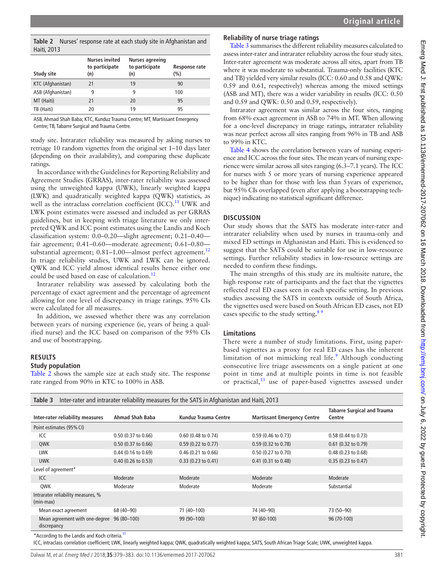<span id="page-2-0"></span>**Table 2** Nurses' response rate at each study site in Afghanistan and Haiti, 2013

| Study site        | <b>Nurses invited</b><br>to participate<br>(n) | <b>Nurses agreeing</b><br>to participate<br>(n) | Response rate<br>(%) |
|-------------------|------------------------------------------------|-------------------------------------------------|----------------------|
| KTC (Afghanistan) | 21                                             | 19                                              | 90                   |
| ASB (Afghanistan) | 9                                              | 9                                               | 100                  |
| MT (Haiti)        | 21                                             | 20                                              | 95                   |
| TB (Haiti)        | 20                                             | 19                                              | 95                   |

ASB, Ahmad Shah Baba; KTC, Kunduz Trauma Centre; MT, Martissant Emergency Centre; TB, Tabarre Surgical and Trauma Centre.

study site. Intrarater reliability was measured by asking nurses to retriage 10 random vignettes from the original set 1–10 days later (depending on their availability), and comparing these duplicate ratings.

In accordance with the Guidelines for Reporting Reliability and Agreement Studies (GRRAS), inter-rater reliability was assessed using the unweighted kappa (UWK), linearly weighted kappa (LWK) and quadratically weighted kappa (QWK) statistics, as well as the intraclass correlation coefficient  $(ICC)^{11}$  $(ICC)^{11}$  $(ICC)^{11}$  UWK and LWK point estimates were assessed and included as per GRRAS guidelines, but in keeping with triage literature we only interpreted QWK and ICC point estimates using the Landis and Koch classification system: 0.0–0.20—slight agreement; 0.21–0.40 fair agreement; 0.41–0.60—moderate agreement; 0.61–0.80 substantial agreement;  $0.81-1.00$ —almost perfect agreement.<sup>[12](#page-4-7)</sup> In triage reliability studies, UWK and LWK can be ignored. QWK and ICC yield almost identical results hence either one could be used based on ease of calculation.<sup>[12](#page-4-7)</sup>

Intrarater reliability was assessed by calculating both the percentage of exact agreement and the percentage of agreement allowing for one level of discrepancy in triage ratings. 95% CIs were calculated for all measures.

In addition, we assessed whether there was any correlation between years of nursing experience (ie, years of being a qualified nurse) and the ICC based on comparison of the 95% CIs and use of bootstrapping.

# **Results**

#### **Study population**

[Table](#page-2-0) 2 shows the sample size at each study site. The response rate ranged from 90% in KTC to 100% in ASB.

# **Reliability of nurse triage ratings**

[Table](#page-2-1) 3 summarises the different reliability measures calculated to assess inter-rater and intrarater reliability across the four study sites. Inter-rater agreement was moderate across all sites, apart from TB where it was moderate to substantial. Trauma-only facilities (KTC and TB) yielded very similar results (ICC: 0.60 and 0.58 and QWK: 0.59 and 0.61, respectively) whereas among the mixed settings (ASB and MT), there was a wider variability in results (ICC: 0.50 and 0.59 and QWK: 0.50 and 0.59, respectively).

Intrarater agreement was similar across the four sites, ranging from 68% exact agreement in ASB to 74% in MT. When allowing for a one-level discrepancy in triage ratings, intrarater reliability was near perfect across all sites ranging from 96% in TB and ASB to 99% in KTC.

[Table](#page-3-0) 4 shows the correlation between years of nursing experience and ICC across the four sites. The mean years of nursing experience were similar across all sites ranging (6.3–7.1 years). The ICC for nurses with 5 or more years of nursing experience appeared to be higher than for those with less than 5years of experience, but 95% CIs overlapped (even after applying a bootstrapping technique) indicating no statistical significant difference.

# **Discussion**

Our study shows that the SATS has moderate inter-rater and intrarater reliability when used by nurses in trauma-only and mixed ED settings in Afghanistan and Haiti. This is evidenced to suggest that the SATS could be suitable for use in low-resource settings. Further reliability studies in low-resource settings are needed to confirm these findings.

The main strengths of this study are its multisite nature, the high response rate of participants and the fact that the vignettes reflected real ED cases seen in each specific setting. In previous studies assessing the SATS in contexts outside of South Africa, the vignettes used were based on South African ED cases, not ED cases specific to the study setting. $8<sup>8</sup>$ 

# **Limitations**

There were a number of study limitations. First, using paperbased vignettes as a proxy for real ED cases has the inherent limitation of not mimicking real life.<sup>[9](#page-4-9)</sup> Although conducting consecutive live triage assessments on a single patient at one point in time and at multiple points in time is not feasible or practical, $13$  use of paper-based vignettes assessed under

<span id="page-2-1"></span>

| Inter-rater and intrarater reliability measures for the SATS in Afghanistan and Haiti, 2013<br>Table 3 |                       |                               |                                    |                                              |  |
|--------------------------------------------------------------------------------------------------------|-----------------------|-------------------------------|------------------------------------|----------------------------------------------|--|
| Inter-rater reliability measures                                                                       | Ahmad Shah Baba       | Kunduz Trauma Centre          | <b>Martissant Emergency Centre</b> | <b>Tabarre Surgical and Trauma</b><br>Centre |  |
| Point estimates (95% CI)                                                                               |                       |                               |                                    |                                              |  |
| ICC                                                                                                    | $0.50$ (0.37 to 0.66) | $0.60$ (0.48 to 0.74)         | $0.59$ (0.46 to 0.73)              | 0.58 (0.44 to 0.73)                          |  |
| QWK                                                                                                    | $0.50$ (0.37 to 0.66) | $0.59$ (0.22 to 0.77)         | $0.59$ (0.32 to 0.78)              | $0.61$ (0.32 to 0.79)                        |  |
| <b>LWK</b>                                                                                             | $0.44$ (0.16 to 0.69) | $0.46$ (0.21 to 0.66)         | $0.50$ (0.27 to 0.70)              | 0.48 (0.23 to 0.68)                          |  |
| <b>UWK</b>                                                                                             | $0.40$ (0.26 to 0.53) | $0.33(0.23 \text{ to } 0.41)$ | $0.41$ (0.31 to 0.48)              | $0.35(0.23 \text{ to } 0.47)$                |  |
| Level of agreement*                                                                                    |                       |                               |                                    |                                              |  |
| ICC                                                                                                    | Moderate              | Moderate                      | Moderate                           | Moderate                                     |  |
| QWK                                                                                                    | Moderate              | Moderate                      | Moderate                           | Substantial                                  |  |
| Intrarater reliability measures, %<br>(min-max)                                                        |                       |                               |                                    |                                              |  |
| Mean exact agreement                                                                                   | 68 (40-90)            | 71 (40-100)                   | 74 (40-90)                         | 73 (50-90)                                   |  |
| Mean agreement with one-degree<br>discrepancy                                                          | 96 (80-100)           | 99 (90-100)                   | 97 (60-100)                        | 96 (70-100)                                  |  |

\*According to the Landis and Koch criteria.<sup>11</sup>

ICC, intraclass correlation coefficient; LWK, linearly weighted kappa; QWK, quadratically weighted kappa; SATS, South African Triage Scale; UWK, unweighted kappa.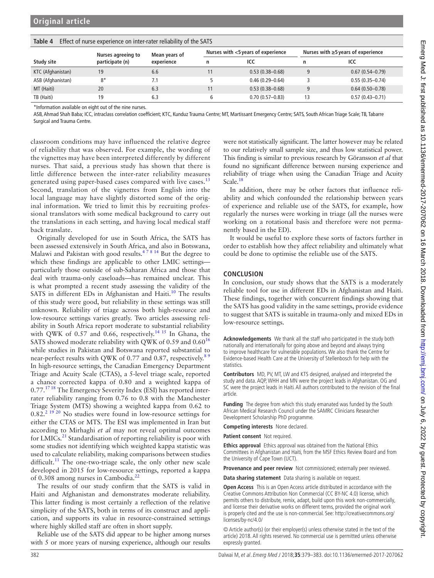Emerg Med J: first published as 10.1136/emermed-2017-207062 on 16 March 2018. Downloaded from http://emj.bmj.com/ on July 6, 2022 by guest. Protected by copyright Emerg Med J: first published as 10.1136/emermed-2017-207062 on 16 March 2018. Downloaded from http://emj.com/ on July 6, 2022 by guest. Protected by copyright.

|                   | Nurses agreeing to<br>participate (n) | Mean years of<br>experience | Nurses with <5 years of experience |                     | Nurses with $\geq$ 5 years of experience |                     |
|-------------------|---------------------------------------|-----------------------------|------------------------------------|---------------------|------------------------------------------|---------------------|
| Study site        |                                       |                             | n                                  | ICC                 | n                                        | ICC                 |
| KTC (Afghanistan) | 19                                    | 6.6                         |                                    | $0.53(0.38 - 0.68)$ | a                                        | $0.67(0.54 - 0.79)$ |
| ASB (Afghanistan) | $8*$                                  | 7.1                         |                                    | $0.46(0.29 - 0.64)$ |                                          | $0.55(0.35 - 0.74)$ |
| MT (Haiti)        | 20                                    | 6.3                         | 11                                 | $0.53(0.38 - 0.68)$ | 9                                        | $0.64(0.50 - 0.78)$ |
| TB (Haiti)        | 19                                    | 6.3                         |                                    | $0.70(0.57 - 0.83)$ | 13                                       | $0.57(0.43 - 0.71)$ |

### <span id="page-3-0"></span>**Table 4** Effect of nurse experience on inter-rater reliability of the SATS

\*Information available on eight out of the nine nurses.

ASB, Ahmad Shah Baba; ICC, intraclass correlation coefficient; KTC, Kunduz Trauma Centre; MT, Martissant Emergency Centre; SATS, South African Triage Scale; TB, Tabarre Surgical and Trauma Centre.

classroom conditions may have influenced the relative degree of reliability that was observed. For example, the wording of the vignettes may have been interpreted differently by different nurses. That said, a previous study has shown that there is little difference between the inter-rater reliability measures generated using paper-based cases compared with live cases.<sup>[13](#page-4-10)</sup> Second, translation of the vignettes from English into the local language may have slightly distorted some of the original information. We tried to limit this by recruiting professional translators with some medical background to carry out the translations in each setting, and having local medical staff back translate.

Originally developed for use in South Africa, the SATS has been assessed extensively in South Africa, and also in Botswana, Malawi and Pakistan with good results.<sup>478</sup> 14 But the degree to which these findings are applicable to other LMIC settings particularly those outside of sub-Saharan Africa and those that deal with trauma-only caseloads—has remained unclear. This is what prompted a recent study assessing the validity of the SATS in different EDs in Afghanistan and Haiti.<sup>[10](#page-4-5)</sup> The results of this study were good, but reliability in these settings was still unknown. Reliability of triage across both high-resource and low-resource settings varies greatly. Two articles assessing reliability in South Africa report moderate to substantial reliability with QWK of 0.57 and 0.66, respectively.<sup>14 15</sup> In Ghana, the SATS showed moderate reliability with QWK of 0.59 and 0.60<sup>[16](#page-4-12)</sup> while studies in Pakistan and Botswana reported substantial to near-perfect results with QWK of 0.77 and 0.87, respectively.<sup>89</sup> In high-resource settings, the Canadian Emergency Department Triage and Acuity Scale (CTAS), a 5-level triage scale, reported a chance corrected kappa of 0.80 and a weighted kappa of 0.77.<sup>17 18</sup> The Emergency Severity Index (ESI) has reported interrater reliability ranging from 0.76 to 0.8 with the Manchester Triage System (MTS) showing a weighted kappa from 0.62 to  $0.82<sup>2</sup>$ <sup>19'20</sup> No studies were found in low-resource settings for either the CTAS or MTS. The ESI was implemented in Iran but according to Mirhaghi *et al* may not reveal optimal outcomes for LMICs.<sup>21</sup> Standardisation of reporting reliability is poor with some studies not identifying which weighted kappa statistic was used to calculate reliability, making comparisons between studies difficult.<sup>11</sup> The one-two-triage scale, the only other new scale developed in 2015 for low-resource settings, reported a kappa of 0.308 among nurses in Cambodia. $^{22}$  $^{22}$  $^{22}$ 

The results of our study confirm that the SATS is valid in Haiti and Afghanistan and demonstrates moderate reliability. This latter finding is most certainly a reflection of the relative simplicity of the SATS, both in terms of its construct and application, and supports its value in resource-constrained settings where highly skilled staff are often in short supply.

Reliable use of the SATS did appear to be higher among nurses with 5 or more years of nursing experience, although our results

were not statistically significant. The latter however may be related to our relatively small sample size, and thus low statistical power. This finding is similar to previous research by Göransson *et al* that found no significant difference between nursing experience and reliability of triage when using the Canadian Triage and Acuity Scale.<sup>1</sup>

In addition, there may be other factors that influence reliability and which confounded the relationship between years of experience and reliable use of the SATS, for example, how regularly the nurses were working in triage (all the nurses were working on a rotational basis and therefore were not permanently based in the ED).

It would be useful to explore these sorts of factors further in order to establish how they affect reliability and ultimately what could be done to optimise the reliable use of the SATS.

# **Conclusion**

In conclusion, our study shows that the SATS is a moderately reliable tool for use in different EDs in Afghanistan and Haiti. These findings, together with concurrent findings showing that the SATS has good validity in the same settings, provide evidence to suggest that SATS is suitable in trauma-only and mixed EDs in low-resource settings.

**Acknowledgements** We thank all the staff who participated in the study both nationally and internationally for going above and beyond and always trying to improve healthcare for vulnerable populations. We also thank the Centre for Evidence-based Health Care at the University of Stellenbosch for help with the statistics.

**Contributors** MD, PV, MT, LW and KTS designed, analysed and interpreted the study and data. AQP, WHH and MN were the project leads in Afghanistan. OG and SC were the project leads in Haiti. All authors contributed to the revision of the final article.

**Funding** The degree from which this study emanated was funded by the South African Medical Research Council under the SAMRC Clinicians Researcher Development Scholarship PhD programme.

**Competing interests** None declared.

**Patient consent** Not required.

**Ethics approval** Ethics approval was obtained from the National Ethics Committees in Afghanistan and Haiti, from the MSF Ethics Review Board and from the University of Cape Town (UCT).

**Provenance and peer review** Not commissioned; externally peer reviewed.

**Data sharing statement** Data sharing is available on request.

**Open Access** This is an Open Access article distributed in accordance with the Creative Commons Attribution Non Commercial (CC BY-NC 4.0) license, which permits others to distribute, remix, adapt, build upon this work non-commercially, and license their derivative works on different terms, provided the original work is properly cited and the use is non-commercial. See: [http://creativecommons.org/](http://creativecommons.org/licenses/by-nc/4.0/) [licenses/by-nc/4.0/](http://creativecommons.org/licenses/by-nc/4.0/)

© Article author(s) (or their employer(s) unless otherwise stated in the text of the article) 2018. All rights reserved. No commercial use is permitted unless otherwise expressly granted.